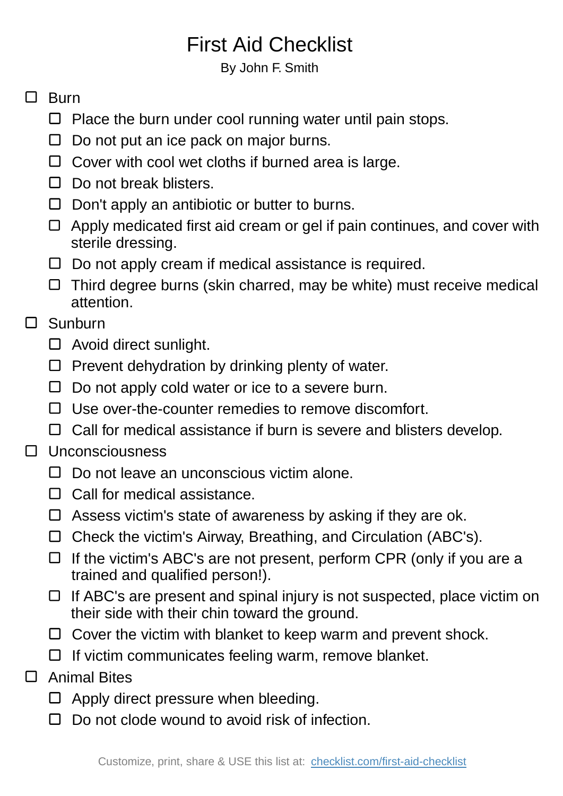# First Aid Checklist

### By John F. Smith

## $\Box$  Burn

- $\Box$  Place the burn under cool running water until pain stops.
- D Do not put an ice pack on major burns.
- $\Box$  Cover with cool wet cloths if burned area is large.
- $\Box$  Do not break blisters.
- $\Box$  Don't apply an antibiotic or butter to burns.
- $\Box$  Apply medicated first aid cream or gel if pain continues, and cover with sterile dressing.
- $\Box$  Do not apply cream if medical assistance is required.
- $\Box$  Third degree burns (skin charred, may be white) must receive medical attention.

### $\Box$ Sunburn

- $\Box$  Avoid direct sunlight.
- $\Box$  Prevent dehydration by drinking plenty of water.
- $\Box$  Do not apply cold water or ice to a severe burn.
- $\Box$  Use over-the-counter remedies to remove discomfort.
- $\Box$  Call for medical assistance if burn is severe and blisters develop.

#### $\Box$ Unconsciousness

- $\Box$  Do not leave an unconscious victim alone.
- $\Box$  Call for medical assistance.
- $\Box$  Assess victim's state of awareness by asking if they are ok.
- Check the victim's Airway, Breathing, and Circulation (ABC's).
- $\Box$  If the victim's ABC's are not present, perform CPR (only if you are a trained and qualified person!).
- $\Box$  If ABC's are present and spinal injury is not suspected, place victim on their side with their chin toward the ground.
- $\Box$  Cover the victim with blanket to keep warm and prevent shock.
- $\Box$  If victim communicates feeling warm, remove blanket.
- $\Box$ Animal Bites
	- $\Box$  Apply direct pressure when bleeding.
	- $\Box$  Do not clode wound to avoid risk of infection.